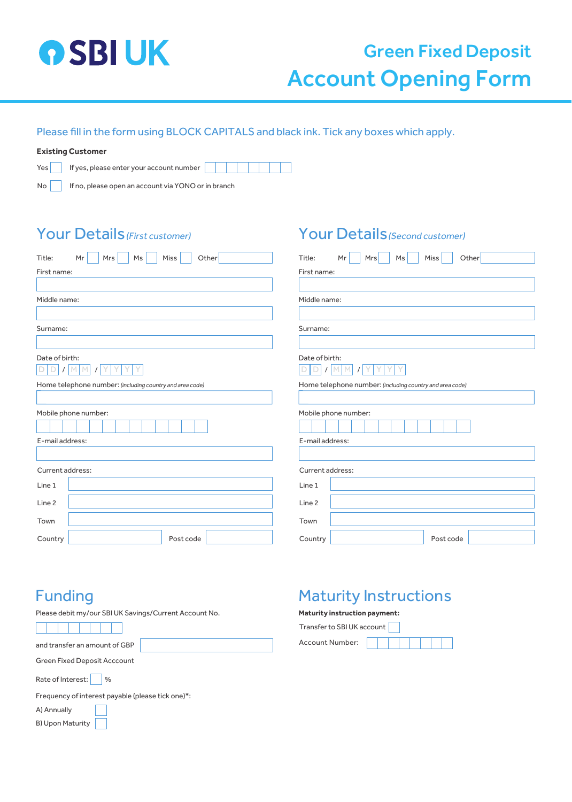

# Green Fixed Deposit Account Opening Form

#### Please fill in the form using BLOCK CAPITALS and black ink. Tick any boxes which apply.

#### **Existing Customer**

Yes If yes, please enter your account number  $\sqrt{ }$ 

No **If no, please open an account via YONO** or in branch

### Your Details (First customer)

| <b>Your Details (First customer)</b>                     | Your Details (Second customer)                           |  |
|----------------------------------------------------------|----------------------------------------------------------|--|
| Title:<br>Mr<br>Mrs I<br>Ms<br>Miss<br>Other             | Mr<br>Other<br>Title:<br>Mrs<br>Ms<br>Miss               |  |
| First name:                                              | First name:                                              |  |
|                                                          |                                                          |  |
| Middle name:                                             | Middle name:                                             |  |
|                                                          |                                                          |  |
| Surname:                                                 | Surname:                                                 |  |
| Date of birth:<br>D <sub>1</sub><br>D<br>M               | Date of birth:<br>Y<br>D<br>M<br>$\prime$                |  |
| Home telephone number: (including country and area code) | Home telephone number: (including country and area code) |  |
|                                                          |                                                          |  |
| Mobile phone number:                                     | Mobile phone number:                                     |  |
|                                                          |                                                          |  |
| E-mail address:                                          | E-mail address:                                          |  |
|                                                          |                                                          |  |
| Current address:                                         | Current address:                                         |  |
| Line 1                                                   | Line 1                                                   |  |
| Line 2                                                   | Line 2                                                   |  |
| Town                                                     | Town                                                     |  |
| Country<br>Post code                                     | Post code<br>Country                                     |  |

### Funding

Please debit my/our SBI UK Savings/Current Account No.

and transfer an amount of GBP

Green Fixed Deposit Acccount

Rate of Interest: %

Frequency of interest payable (please tick one)\*:

A) Annually

B) Upon Maturity

## Maturity Instructions

#### **Maturity instruction payment:**

Transfer to SBI UK account Account Number: